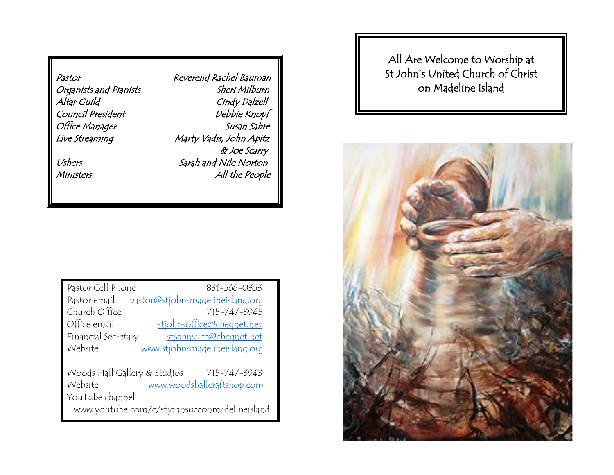| Pastor                 |  |
|------------------------|--|
| Organists and Pianists |  |
| Altar Guild            |  |
| Council President      |  |
| Office Manager         |  |
| Live Streaming         |  |
|                        |  |

Reverend Rachel Bauman Sheri Milburn Cindy Dalzell Debbie Knopf Susan Sabre Marty Vadis, John Apitz Extra de la Searry<br>Sarah and Nile Norton Sarah and Nile Norton Ministers **All the People** 

| Pastor Cell Phone                            | 831-566-0353                     |  |  |
|----------------------------------------------|----------------------------------|--|--|
| Pastor email                                 | pastor@stjohnsmadelineisland.org |  |  |
| Church Office                                | 715-747-3945                     |  |  |
| Office email                                 | stjohnsoffice@cheqnet.net        |  |  |
| Financial Secretary                          | stjohnsucc@cheqnet.net           |  |  |
| Website                                      | www.stjohnsmadelineisland.org    |  |  |
|                                              |                                  |  |  |
| Woods Hall Gallery & Studios                 | 715-747-3943                     |  |  |
| Website                                      | www.woodshallcraftshop.com       |  |  |
| YouTube channel                              |                                  |  |  |
| www.youtube.com/c/stjohnsucconmadelineisland |                                  |  |  |

All Are Welcome to Worship at St John's United Church of Christ on Madeline Island

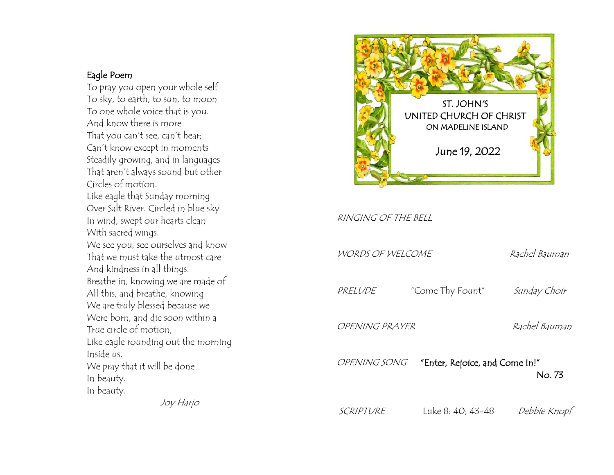# Eagle Poem

To pray you open your whole self To sky, to earth, to sun, to moon To one whole voice that is you. And know there is more That you can 't see, can 't hear; Can't know except in moments Steadily growing, and in languages That aren 't always sound but other Circles of motion. Like eagle that Sunday morning Over Salt River. Circled in blue sky In wind, swept our hearts clean With sacred wings. We see you, see ourselves and know That we mu st take the utmost care And kindness in all things. Breathe in, knowing we are made of All this, and breathe, knowing We are truly blessed because we Were born, and die soon wit hin a True circle of motion, Like eagle rounding out the morning Inside us. We pray that it will be done In beauty. In beauty. Joy Harjo



RINGING OF THE BELL

| <i>WORDS OF WELCOME</i> | Rachel Bauman                  |               |
|-------------------------|--------------------------------|---------------|
| <i>PRELUDE</i>          | "Come Thy Fount"               | Sunday Choir  |
| OPENING PRAYER          |                                | Rachel Bauman |
| <i>OPENING SONG</i>     | "Enter, Rejoice, and Come In!" | No. 73        |
| SCRIPTURE               | Luke 8: 40; 43-48              | Debbie Knopf  |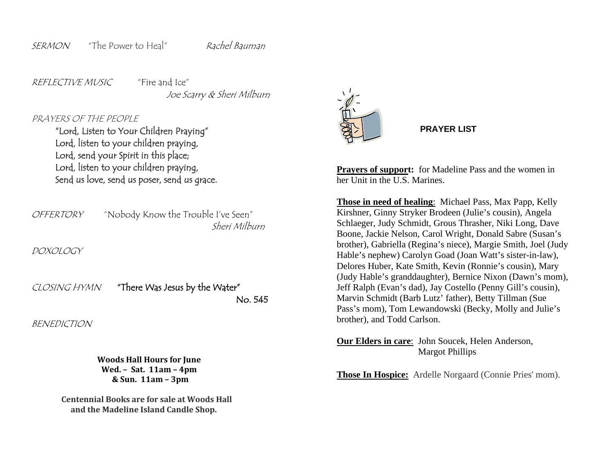REFLECTIVE MUSIC<sup>"</sup> Fire and Ice"

Joe Scarry & Sheri Milburn

#### PRAYERS OF THE PEOPLE

 "Lord, Listen to Your Children Praying" Lord, listen to your children praying, Lord, send your Spirit in this place; Lord, listen to your children praying, Send us love, send us poser, send us grace.

OFFERTORY "Nobody Know the Trouble I've Seen" Sheri Milburn

DOXOLOGY

CLOSING HYMN "There Was Jesus by the Water" No. 545

**BENEDICTION** 

**Woods Hall Hours for June Wed. – Sat. 11am – 4pm & Sun. 11am – 3pm**

 **Centennial Books are for sale at Woods Hall and the Madeline Island Candle Shop.**



 **PRAYER LIST**

**Prayers of support:** for Madeline Pass and the women in her Unit in the U.S. Marines.

**Those in need of healing**: Michael Pass, Max Papp, Kelly Kirshner, Ginny Stryker Brodeen (Julie's cousin), Angela Schlaeger, Judy Schmidt, Grous Thrasher, Niki Long, Dave Boone, Jackie Nelson, Carol Wright, Donald Sabre (Susan's brother), Gabriella (Regina's niece), Margie Smith, Joel (Judy Hable's nephew) Carolyn Goad (Joan Watt's sister-in-law), Delores Huber, Kate Smith, Kevin (Ronnie's cousin), Mary (Judy Hable's granddaughter), Bernice Nixon (Dawn's mom), Jeff Ralph (Evan's dad), Jay Costello (Penny Gill's cousin), Marvin Schmidt (Barb Lutz' father), Betty Tillman (Sue Pass's mom), Tom Lewandowski (Becky, Molly and Julie's brother), and Todd Carlson.

**Our Elders in care**: John Soucek, Helen Anderson, Margot Phillips

**Those In Hospice:** Ardelle Norgaard (Connie Pries' mom).